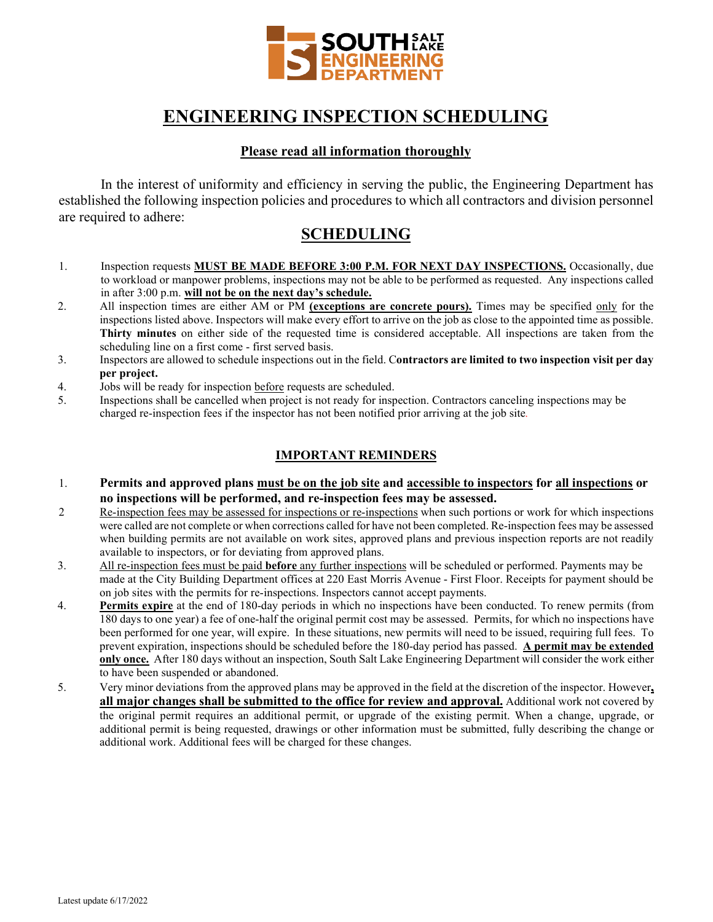

## **ENGINEERING INSPECTION SCHEDULING**

#### **Please read all information thoroughly**

In the interest of uniformity and efficiency in serving the public, the Engineering Department has established the following inspection policies and procedures to which all contractors and division personnel are required to adhere:

## **SCHEDULING**

- 1. Inspection requests **MUST BE MADE BEFORE 3:00 P.M. FOR NEXT DAY INSPECTIONS.** Occasionally, due to workload or manpower problems, inspections may not be able to be performed as requested. Any inspections called in after 3:00 p.m. **will not be on the next day's schedule.**
- 2. All inspection times are either AM or PM **(exceptions are concrete pours).** Times may be specified only for the inspections listed above. Inspectors will make every effort to arrive on the job as close to the appointed time as possible. **Thirty minutes** on either side of the requested time is considered acceptable. All inspections are taken from the scheduling line on a first come - first served basis.
- 3. Inspectors are allowed to schedule inspections out in the field. C**ontractors are limited to two inspection visit per day per project.**
- 4. Jobs will be ready for inspection before requests are scheduled.
- 5. Inspections shall be cancelled when project is not ready for inspection. Contractors canceling inspections may be charged re-inspection fees if the inspector has not been notified prior arriving at the job site*.*

### **IMPORTANT REMINDERS**

- 1. **Permits and approved plans must be on the job site and accessible to inspectors for all inspections or no inspections will be performed, and re-inspection fees may be assessed.**
- 2 Re-inspection fees may be assessed for inspections or re-inspections when such portions or work for which inspections were called are not complete or when corrections called for have not been completed. Re-inspection fees may be assessed when building permits are not available on work sites, approved plans and previous inspection reports are not readily available to inspectors, or for deviating from approved plans.
- 3. All re-inspection fees must be paid **before** any further inspections will be scheduled or performed. Payments may be made at the City Building Department offices at 220 East Morris Avenue - First Floor. Receipts for payment should be on job sites with the permits for re-inspections. Inspectors cannot accept payments.
- 4. **Permits expire** at the end of 180-day periods in which no inspections have been conducted. To renew permits (from 180 days to one year) a fee of one-half the original permit cost may be assessed. Permits, for which no inspections have been performed for one year, will expire. In these situations, new permits will need to be issued, requiring full fees. To prevent expiration, inspections should be scheduled before the 180-day period has passed. **A permit may be extended only once.** After 180 days without an inspection, South Salt Lake Engineering Department will consider the work either to have been suspended or abandoned.
- 5. Very minor deviations from the approved plans may be approved in the field at the discretion of the inspector. However**, all major changes shall be submitted to the office for review and approval.** Additional work not covered by the original permit requires an additional permit, or upgrade of the existing permit. When a change, upgrade, or additional permit is being requested, drawings or other information must be submitted, fully describing the change or additional work. Additional fees will be charged for these changes.